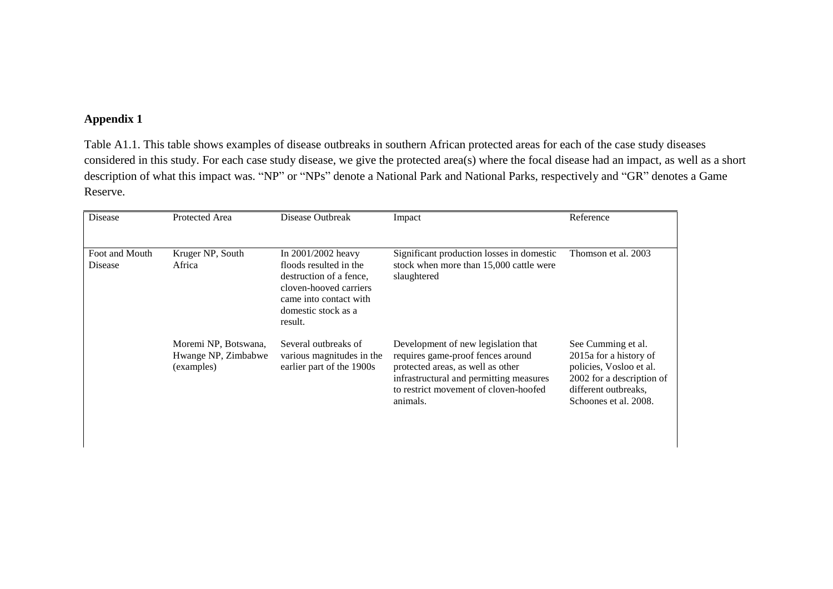## **Appendix 1**

Table A1.1. This table shows examples of disease outbreaks in southern African protected areas for each of the case study diseases considered in this study. For each case study disease, we give the protected area(s) where the focal disease had an impact, as well as a short description of what this impact was. "NP" or "NPs" denote a National Park and National Parks, respectively and "GR" denotes a Game Reserve.

| Disease                   | Protected Area                                            | Disease Outbreak                                                                                                                                              | Impact                                                                                                                                                                                                        | Reference                                                                                                                                             |
|---------------------------|-----------------------------------------------------------|---------------------------------------------------------------------------------------------------------------------------------------------------------------|---------------------------------------------------------------------------------------------------------------------------------------------------------------------------------------------------------------|-------------------------------------------------------------------------------------------------------------------------------------------------------|
|                           |                                                           |                                                                                                                                                               |                                                                                                                                                                                                               |                                                                                                                                                       |
| Foot and Mouth<br>Disease | Kruger NP, South<br>Africa                                | In 2001/2002 heavy<br>floods resulted in the<br>destruction of a fence.<br>cloven-hooved carriers<br>came into contact with<br>domestic stock as a<br>result. | Significant production losses in domestic<br>stock when more than 15,000 cattle were<br>slaughtered                                                                                                           | Thomson et al. 2003                                                                                                                                   |
|                           | Moremi NP, Botswana,<br>Hwange NP, Zimbabwe<br>(examples) | Several outbreaks of<br>various magnitudes in the<br>earlier part of the 1900s                                                                                | Development of new legislation that<br>requires game-proof fences around<br>protected areas, as well as other<br>infrastructural and permitting measures<br>to restrict movement of cloven-hoofed<br>animals. | See Cumming et al.<br>2015a for a history of<br>policies, Vosloo et al.<br>2002 for a description of<br>different outbreaks.<br>Schoones et al. 2008. |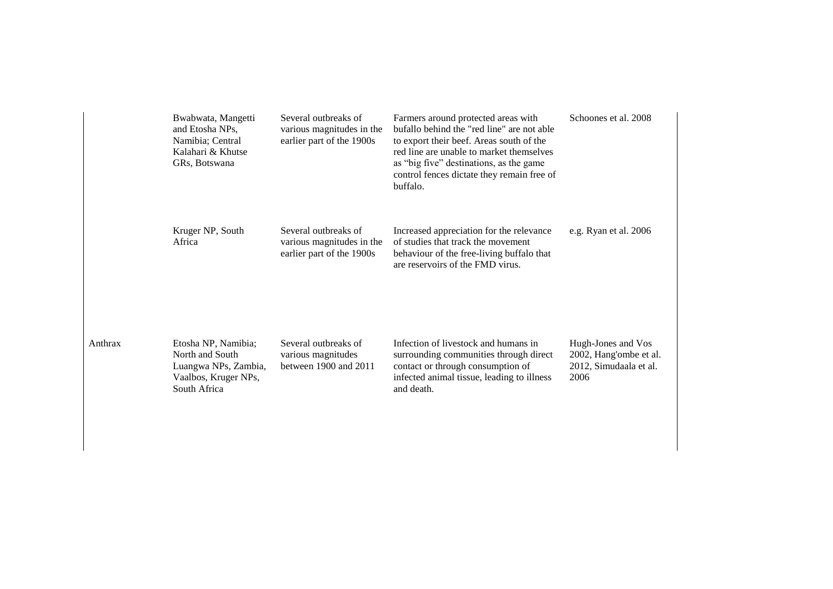| Bwabwata, Mangetti<br>and Etosha NPs,<br>Namibia; Central<br>Kalahari & Khutse<br>GRs, Botswana        | Several outbreaks of<br>various magnitudes in the<br>earlier part of the 1900s | Farmers around protected areas with<br>bufallo behind the "red line" are not able<br>to export their beef. Areas south of the<br>red line are unable to market themselves<br>as "big five" destinations, as the game<br>control fences dictate they remain free of<br>buffalo. | Schoones et al. 2008                                                           |
|--------------------------------------------------------------------------------------------------------|--------------------------------------------------------------------------------|--------------------------------------------------------------------------------------------------------------------------------------------------------------------------------------------------------------------------------------------------------------------------------|--------------------------------------------------------------------------------|
| Kruger NP, South<br>Africa                                                                             | Several outbreaks of<br>various magnitudes in the<br>earlier part of the 1900s | Increased appreciation for the relevance<br>of studies that track the movement<br>behaviour of the free-living buffalo that<br>are reservoirs of the FMD virus.                                                                                                                | e.g. Ryan et al. 2006                                                          |
| Etosha NP, Namibia;<br>North and South<br>Luangwa NPs, Zambia,<br>Vaalbos, Kruger NPs,<br>South Africa | Several outbreaks of<br>various magnitudes<br>between 1900 and 2011            | Infection of livestock and humans in<br>surrounding communities through direct<br>contact or through consumption of<br>infected animal tissue, leading to illness<br>and death.                                                                                                | Hugh-Jones and Vos<br>2002, Hang'ombe et al.<br>2012, Simudaala et al.<br>2006 |

Anthrax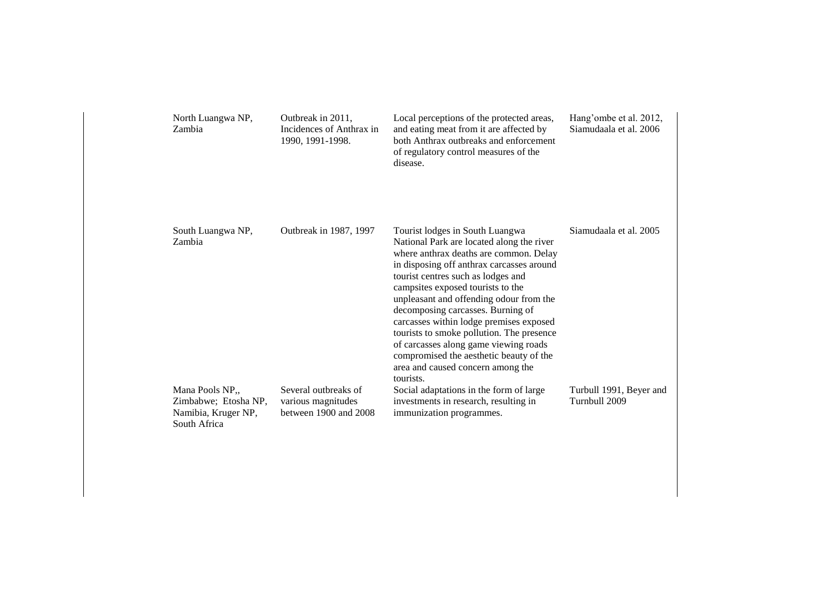| North Luangwa NP,<br>Zambia                                                    | Outbreak in 2011,<br>Incidences of Anthrax in<br>1990, 1991-1998.       | Local perceptions of the protected areas,<br>and eating meat from it are affected by<br>both Anthrax outbreaks and enforcement<br>of regulatory control measures of the<br>disease.                                                                                                                                                                                                                                                                                                                                                                          | Hang'ombe et al. 2012,<br>Siamudaala et al. 2006 |
|--------------------------------------------------------------------------------|-------------------------------------------------------------------------|--------------------------------------------------------------------------------------------------------------------------------------------------------------------------------------------------------------------------------------------------------------------------------------------------------------------------------------------------------------------------------------------------------------------------------------------------------------------------------------------------------------------------------------------------------------|--------------------------------------------------|
| South Luangwa NP,<br>Zambia                                                    | Outbreak in 1987, 1997                                                  | Tourist lodges in South Luangwa<br>National Park are located along the river<br>where anthrax deaths are common. Delay<br>in disposing off anthrax carcasses around<br>tourist centres such as lodges and<br>campsites exposed tourists to the<br>unpleasant and offending odour from the<br>decomposing carcasses. Burning of<br>carcasses within lodge premises exposed<br>tourists to smoke pollution. The presence<br>of carcasses along game viewing roads<br>compromised the aesthetic beauty of the<br>area and caused concern among the<br>tourists. | Siamudaala et al. 2005                           |
| Mana Pools NP,,<br>Zimbabwe; Etosha NP,<br>Namibia, Kruger NP,<br>South Africa | Several outbreaks of<br>various magnitudes<br>between $1900$ and $2008$ | Social adaptations in the form of large<br>investments in research, resulting in<br>immunization programmes.                                                                                                                                                                                                                                                                                                                                                                                                                                                 | Turbull 1991, Beyer and<br>Turnbull 2009         |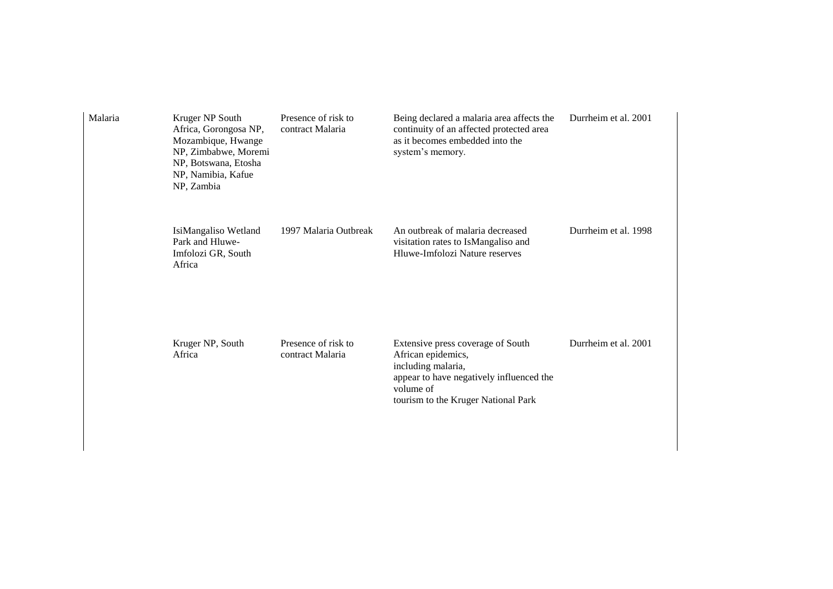| Malaria | Kruger NP South<br>Africa, Gorongosa NP,<br>Mozambique, Hwange<br>NP, Zimbabwe, Moremi<br>NP, Botswana, Etosha<br>NP, Namibia, Kafue<br>NP, Zambia | Presence of risk to<br>contract Malaria | Being declared a malaria area affects the<br>continuity of an affected protected area<br>as it becomes embedded into the<br>system's memory.                                  | Durrheim et al. 2001 |
|---------|----------------------------------------------------------------------------------------------------------------------------------------------------|-----------------------------------------|-------------------------------------------------------------------------------------------------------------------------------------------------------------------------------|----------------------|
|         | IsiMangaliso Wetland<br>Park and Hluwe-<br>Imfolozi GR, South<br>Africa                                                                            | 1997 Malaria Outbreak                   | An outbreak of malaria decreased<br>visitation rates to IsMangaliso and<br>Hluwe-Imfolozi Nature reserves                                                                     | Durrheim et al. 1998 |
|         | Kruger NP, South<br>Africa                                                                                                                         | Presence of risk to<br>contract Malaria | Extensive press coverage of South<br>African epidemics,<br>including malaria,<br>appear to have negatively influenced the<br>volume of<br>tourism to the Kruger National Park | Durrheim et al. 2001 |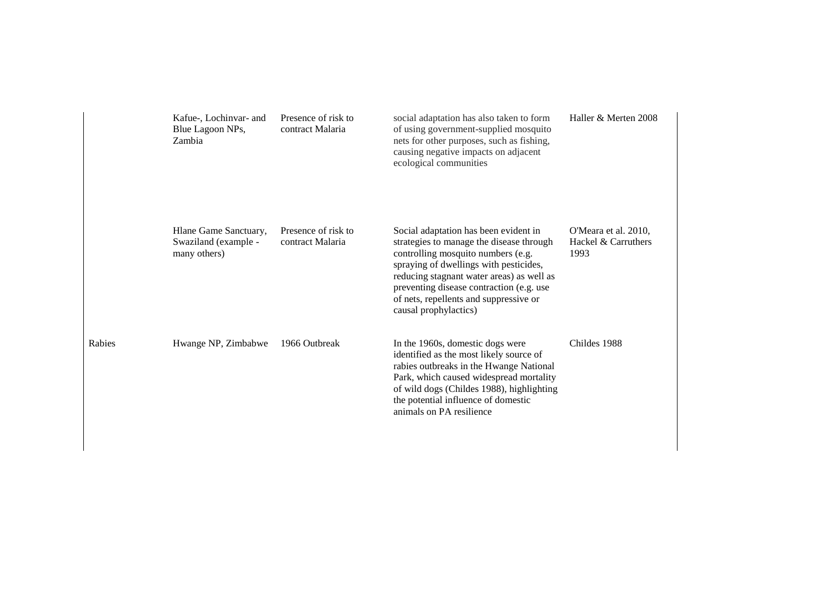|        | Kafue-, Lochinvar- and<br>Blue Lagoon NPs,<br>Zambia          | Presence of risk to<br>contract Malaria | social adaptation has also taken to form<br>of using government-supplied mosquito<br>nets for other purposes, such as fishing,<br>causing negative impacts on adjacent<br>ecological communities                                                                                                                              | Haller & Merten 2008                                |
|--------|---------------------------------------------------------------|-----------------------------------------|-------------------------------------------------------------------------------------------------------------------------------------------------------------------------------------------------------------------------------------------------------------------------------------------------------------------------------|-----------------------------------------------------|
|        | Hlane Game Sanctuary,<br>Swaziland (example -<br>many others) | Presence of risk to<br>contract Malaria | Social adaptation has been evident in<br>strategies to manage the disease through<br>controlling mosquito numbers (e.g.<br>spraying of dwellings with pesticides,<br>reducing stagnant water areas) as well as<br>preventing disease contraction (e.g. use<br>of nets, repellents and suppressive or<br>causal prophylactics) | O'Meara et al. 2010,<br>Hackel & Carruthers<br>1993 |
| Rabies | Hwange NP, Zimbabwe                                           | 1966 Outbreak                           | In the 1960s, domestic dogs were<br>identified as the most likely source of<br>rabies outbreaks in the Hwange National<br>Park, which caused widespread mortality<br>of wild dogs (Childes 1988), highlighting<br>the potential influence of domestic<br>animals on PA resilience                                             | Childes 1988                                        |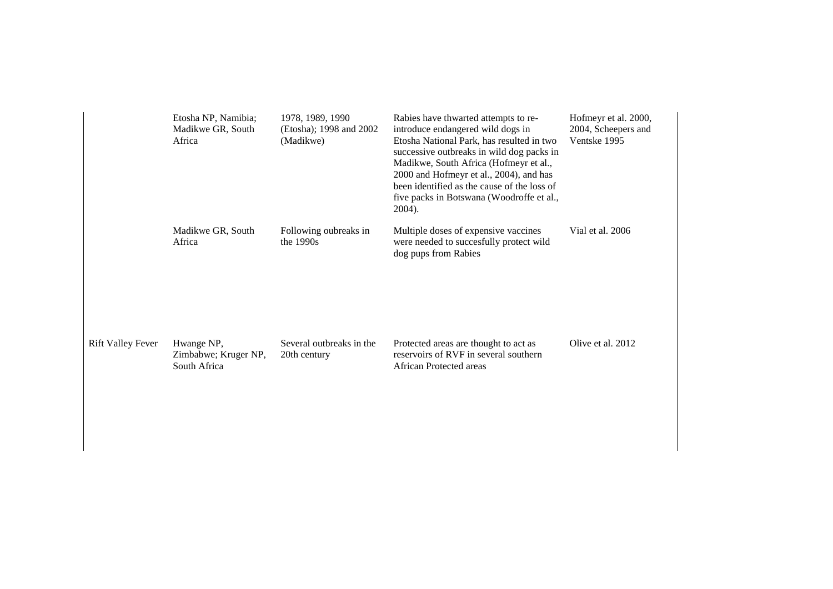|                          | Etosha NP, Namibia;<br>Madikwe GR, South<br>Africa | 1978, 1989, 1990<br>(Etosha); 1998 and 2002<br>(Madikwe) | Rabies have thwarted attempts to re-<br>introduce endangered wild dogs in<br>Etosha National Park, has resulted in two<br>successive outbreaks in wild dog packs in<br>Madikwe, South Africa (Hofmeyr et al.,<br>2000 and Hofmeyr et al., 2004), and has<br>been identified as the cause of the loss of<br>five packs in Botswana (Woodroffe et al.,<br>2004). | Hofmeyr et al. 2000,<br>2004, Scheepers and<br>Ventske 1995 |
|--------------------------|----------------------------------------------------|----------------------------------------------------------|----------------------------------------------------------------------------------------------------------------------------------------------------------------------------------------------------------------------------------------------------------------------------------------------------------------------------------------------------------------|-------------------------------------------------------------|
|                          | Madikwe GR, South<br>Africa                        | Following oubreaks in<br>the $1990s$                     | Multiple doses of expensive vaccines<br>were needed to succesfully protect wild<br>dog pups from Rabies                                                                                                                                                                                                                                                        | Vial et al. 2006                                            |
| <b>Rift Valley Fever</b> | Hwange NP,<br>Zimbabwe; Kruger NP,<br>South Africa | Several outbreaks in the<br>20th century                 | Protected areas are thought to act as<br>reservoirs of RVF in several southern<br><b>African Protected areas</b>                                                                                                                                                                                                                                               | Olive et al. 2012                                           |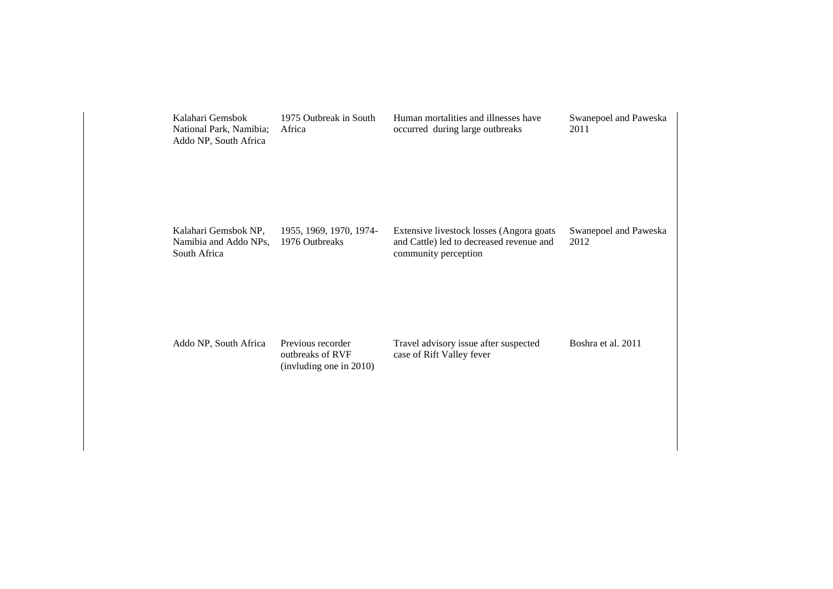| Kalahari Gemsbok<br>National Park, Namibia;<br>Addo NP, South Africa | 1975 Outbreak in South<br>Africa                                 | Human mortalities and illnesses have<br>occurred during large outbreaks                                      | Swanepoel and Paweska<br>2011 |
|----------------------------------------------------------------------|------------------------------------------------------------------|--------------------------------------------------------------------------------------------------------------|-------------------------------|
| Kalahari Gemsbok NP,<br>Namibia and Addo NPs,<br>South Africa        | 1955, 1969, 1970, 1974-<br>1976 Outbreaks                        | Extensive livestock losses (Angora goats<br>and Cattle) led to decreased revenue and<br>community perception | Swanepoel and Paweska<br>2012 |
| Addo NP, South Africa                                                | Previous recorder<br>outbreaks of RVF<br>(invluding one in 2010) | Travel advisory issue after suspected<br>case of Rift Valley fever                                           | Boshra et al. 2011            |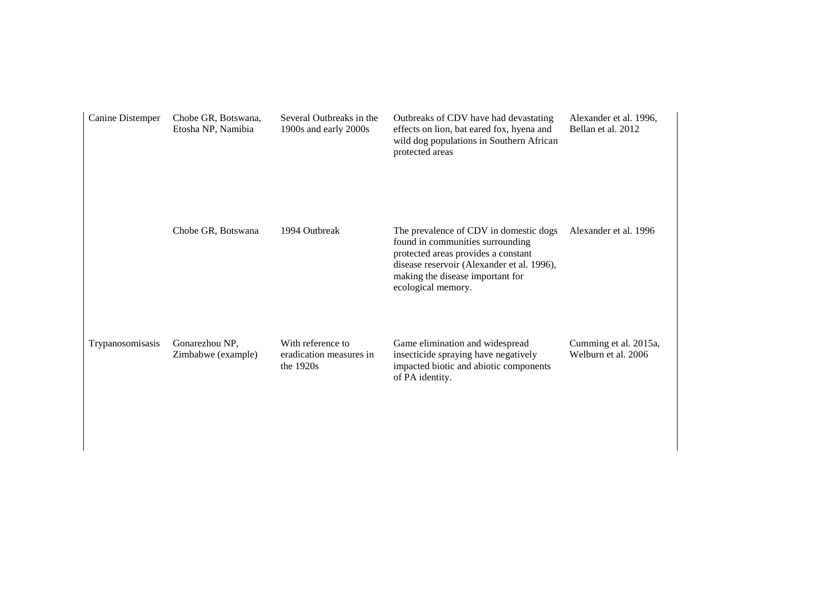| Canine Distemper | Chobe GR, Botswana,<br>Etosha NP, Namibia | Several Outbreaks in the<br>1900s and early 2000s           | Outbreaks of CDV have had devastating<br>effects on lion, bat eared fox, hyena and<br>wild dog populations in Southern African<br>protected areas                                                                         | Alexander et al. 1996,<br>Bellan et al. 2012 |
|------------------|-------------------------------------------|-------------------------------------------------------------|---------------------------------------------------------------------------------------------------------------------------------------------------------------------------------------------------------------------------|----------------------------------------------|
|                  | Chobe GR, Botswana                        | 1994 Outbreak                                               | The prevalence of CDV in domestic dogs<br>found in communities surrounding<br>protected areas provides a constant<br>disease reservoir (Alexander et al. 1996),<br>making the disease important for<br>ecological memory. | Alexander et al. 1996                        |
| Trypanosomisasis | Gonarezhou NP,<br>Zimbabwe (example)      | With reference to<br>eradication measures in<br>the $1920s$ | Game elimination and widespread<br>insecticide spraying have negatively<br>impacted biotic and abiotic components<br>of PA identity.                                                                                      | Cumming et al. 2015a,<br>Welburn et al. 2006 |